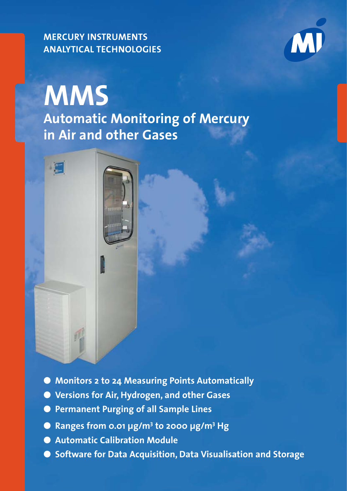**MERCURY INSTRUMENTS ANALYTICAL TECHNOLOGIES**



# **MMS Automatic Monitoring of Mercury in Air and other Gases**

- **Monitors 2 to 24 Measuring Points Automatically**
- **Versions for Air, Hydrogen, and other Gases**
- **Permanent Purging of all Sample Lines**
- Ranges from 0.01 µg/m<sup>3</sup> to 2000 µg/m<sup>3</sup> Hg
- **Automatic Calibration Module**
- **Software for Data Acquisition, Data Visualisation and Storage**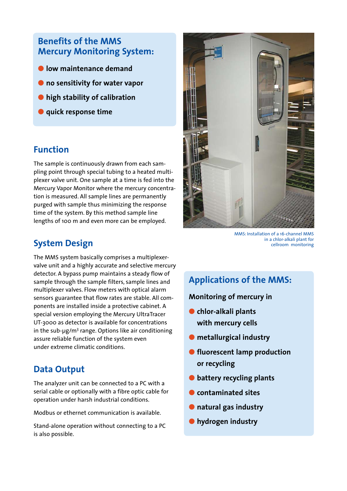#### **Benefits of the MMS Mercury Monitoring System:**

- **low maintenance demand**
- **no sensitivity for water vapor**
- **high stability of calibration**
- **quick response time**

#### **Function**

The sample is continuously drawn from each sampling point through special tubing to a heated multiplexer valve unit. One sample at a time is fed into the Mercury Vapor Monitor where the mercury concentration is measured. All sample lines are permanently purged with sample thus minimizing the response time of the system. By this method sample line lengths of 100 m and even more can be employed.

#### **System Design**

The MMS system basically comprises a multiplexervalve unit and a highly accurate and selective mercury detector. A bypass pump maintains a steady flow of sample through the sample filters, sample lines and multiplexer valves. Flow meters with optical alarm sensors guarantee that flow rates are stable. All components are installed inside a protective cabinet. A special version employing the Mercury UltraTracer UT-3000 as detector is available for concentrations in the sub-µg/m<sup>3</sup> range. Options like air conditioning assure reliable function of the system even under extreme climatic conditions.

#### **Data Output**

The analyzer unit can be connected to a PC with a serial cable or optionally with a fibre optic cable for operation under harsh industrial conditions.

Modbus or ethernet communication is available.

Stand-alone operation without connecting to a PC is also possible.



MMS: Installation of a 16-channel MMS in a chlor-alkali plant for cellroom monitoring

#### **Applications of the MMS:**

**Monitoring of mercury in**

- **chlor-alkali plants with mercury cells**
- **metallurgical industry**
- **fluorescent lamp production or recycling**
- **battery recycling plants**
- **contaminated sites**
- **natural gas industry**
- **hydrogen industry**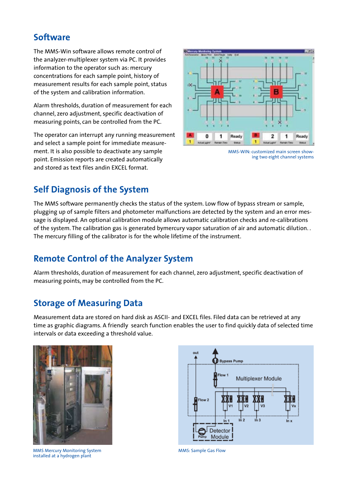#### **Software**

The MMS-Win software allows remote control of the analyzer-multiplexer system via PC. It provides information to the operator such as: mercury concentrations for each sample point, history of measurement results for each sample point, status of the system and calibration information.

Alarm thresholds, duration of measurement for each channel, zero adjustment, specific deactivation of measuring points, can be controlled from the PC.

The operator can interrupt any running measurement and select a sample point for immediate measurement. It is also possible to deactivate any sample point. Emission reports are created automatically and stored as text files andin EXCEL format.



MMS-WIN: customized main screen showing two eight channel systems

### **Self Diagnosis of the System**

The MMS software permanently checks the status of the system. Low flow of bypass stream or sample, plugging up of sample filters and photometer malfunctions are detected by the system and an error message is displayed. An optional calibration module allows automatic calibration checks and re-calibrations of the system. The calibration gas is generated bymercury vapor saturation of air and automatic dilution. . The mercury filling of the calibrator is for the whole lifetime of the instrument.

#### **Remote Control of the Analyzer System**

Alarm thresholds, duration of measurement for each channel, zero adjustment, specific deactivation of measuring points, may be controlled from the PC.

#### **Storage of Measuring Data**

Measurement data are stored on hard disk as ASCII- and EXCEL files. Filed data can be retrieved at any time as graphic diagrams. A friendly search function enables the user to find quickly data of selected time intervals or data exceeding a threshold value.



MMS Mercury Monitoring System installed at a hydrogen plant



MMS: Sample Gas Flow